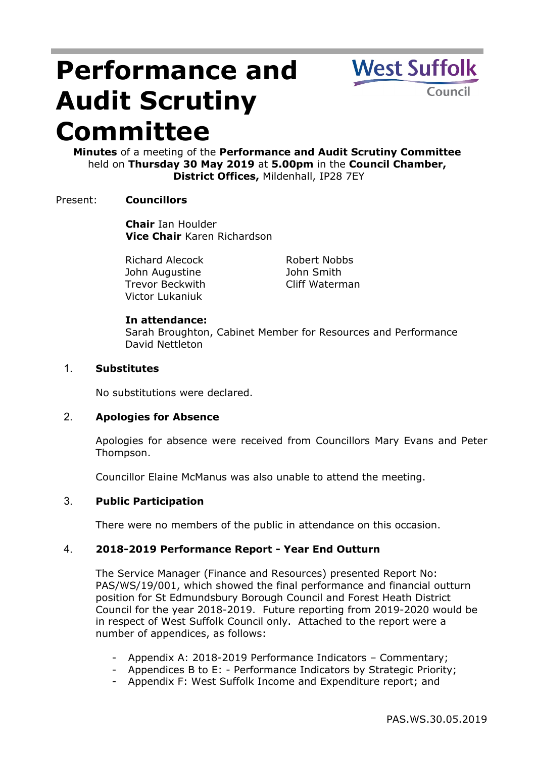# **Performance and Audit Scrutiny Committee**



**Minutes** of a meeting of the **Performance and Audit Scrutiny Committee** held on **Thursday 30 May 2019** at **5.00pm** in the **Council Chamber, District Offices,** Mildenhall, IP28 7EY

# Present: **Councillors**

**Chair** Ian Houlder **Vice Chair** Karen Richardson

Richard Alecock John Augustine Trevor Beckwith Victor Lukaniuk

Robert Nobbs John Smith Cliff Waterman

## **In attendance:**

Sarah Broughton, Cabinet Member for Resources and Performance David Nettleton

## 1. **Substitutes**

No substitutions were declared.

## 2. **Apologies for Absence**

Apologies for absence were received from Councillors Mary Evans and Peter Thompson.

Councillor Elaine McManus was also unable to attend the meeting.

## 3. **Public Participation**

There were no members of the public in attendance on this occasion.

## 4. **2018-2019 Performance Report - Year End Outturn**

The Service Manager (Finance and Resources) presented Report No: PAS/WS/19/001, which showed the final performance and financial outturn position for St Edmundsbury Borough Council and Forest Heath District Council for the year 2018-2019. Future reporting from 2019-2020 would be in respect of West Suffolk Council only. Attached to the report were a number of appendices, as follows:

- Appendix A: 2018-2019 Performance Indicators Commentary;
- Appendices B to E: Performance Indicators by Strategic Priority;
- Appendix F: West Suffolk Income and Expenditure report; and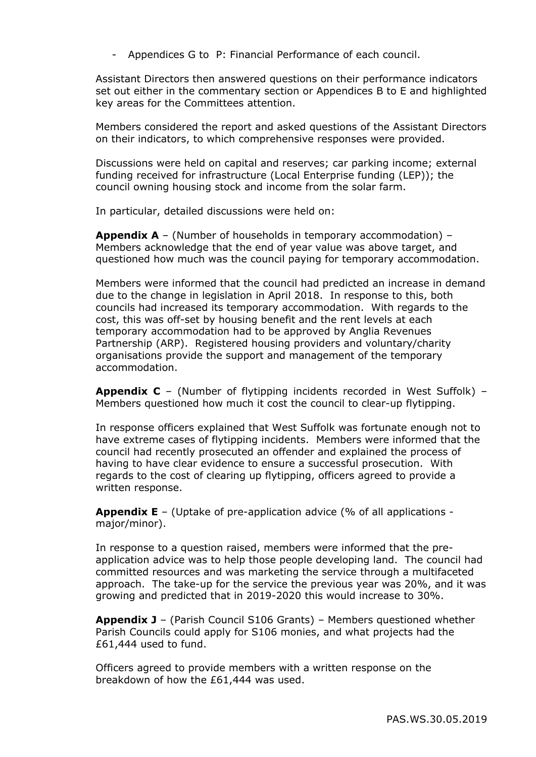- Appendices G to P: Financial Performance of each council.

Assistant Directors then answered questions on their performance indicators set out either in the commentary section or Appendices B to E and highlighted key areas for the Committees attention.

Members considered the report and asked questions of the Assistant Directors on their indicators, to which comprehensive responses were provided.

Discussions were held on capital and reserves; car parking income; external funding received for infrastructure (Local Enterprise funding (LEP)); the council owning housing stock and income from the solar farm.

In particular, detailed discussions were held on:

**Appendix A** – (Number of households in temporary accommodation) – Members acknowledge that the end of year value was above target, and questioned how much was the council paying for temporary accommodation.

Members were informed that the council had predicted an increase in demand due to the change in legislation in April 2018. In response to this, both councils had increased its temporary accommodation. With regards to the cost, this was off-set by housing benefit and the rent levels at each temporary accommodation had to be approved by Anglia Revenues Partnership (ARP). Registered housing providers and voluntary/charity organisations provide the support and management of the temporary accommodation.

**Appendix C** – (Number of flytipping incidents recorded in West Suffolk) – Members questioned how much it cost the council to clear-up flytipping.

In response officers explained that West Suffolk was fortunate enough not to have extreme cases of flytipping incidents. Members were informed that the council had recently prosecuted an offender and explained the process of having to have clear evidence to ensure a successful prosecution. With regards to the cost of clearing up flytipping, officers agreed to provide a written response.

**Appendix E** – (Uptake of pre-application advice (% of all applications major/minor).

In response to a question raised, members were informed that the preapplication advice was to help those people developing land. The council had committed resources and was marketing the service through a multifaceted approach. The take-up for the service the previous year was 20%, and it was growing and predicted that in 2019-2020 this would increase to 30%.

**Appendix J** – (Parish Council S106 Grants) – Members questioned whether Parish Councils could apply for S106 monies, and what projects had the £61,444 used to fund.

Officers agreed to provide members with a written response on the breakdown of how the £61,444 was used.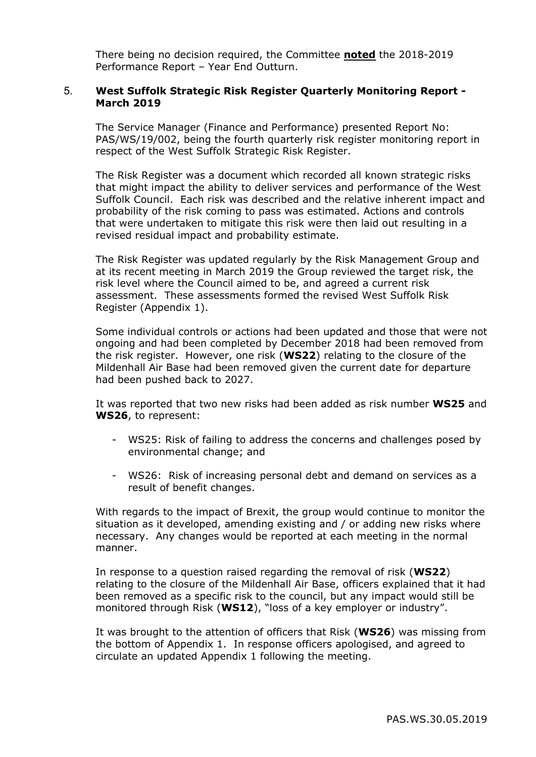There being no decision required, the Committee **noted** the 2018-2019 Performance Report – Year End Outturn.

### 5. **West Suffolk Strategic Risk Register Quarterly Monitoring Report - March 2019**

The Service Manager (Finance and Performance) presented Report No: PAS/WS/19/002, being the fourth quarterly risk register monitoring report in respect of the West Suffolk Strategic Risk Register.

The Risk Register was a document which recorded all known strategic risks that might impact the ability to deliver services and performance of the West Suffolk Council. Each risk was described and the relative inherent impact and probability of the risk coming to pass was estimated. Actions and controls that were undertaken to mitigate this risk were then laid out resulting in a revised residual impact and probability estimate.

The Risk Register was updated regularly by the Risk Management Group and at its recent meeting in March 2019 the Group reviewed the target risk, the risk level where the Council aimed to be, and agreed a current risk assessment. These assessments formed the revised West Suffolk Risk Register (Appendix 1).

Some individual controls or actions had been updated and those that were not ongoing and had been completed by December 2018 had been removed from the risk register. However, one risk (**WS22**) relating to the closure of the Mildenhall Air Base had been removed given the current date for departure had been pushed back to 2027.

It was reported that two new risks had been added as risk number **WS25** and **WS26**, to represent:

- WS25: Risk of failing to address the concerns and challenges posed by environmental change; and
- WS26: Risk of increasing personal debt and demand on services as a result of benefit changes.

With regards to the impact of Brexit, the group would continue to monitor the situation as it developed, amending existing and / or adding new risks where necessary. Any changes would be reported at each meeting in the normal manner.

In response to a question raised regarding the removal of risk (**WS22**) relating to the closure of the Mildenhall Air Base, officers explained that it had been removed as a specific risk to the council, but any impact would still be monitored through Risk (**WS12**), "loss of a key employer or industry".

It was brought to the attention of officers that Risk (**WS26**) was missing from the bottom of Appendix 1. In response officers apologised, and agreed to circulate an updated Appendix 1 following the meeting.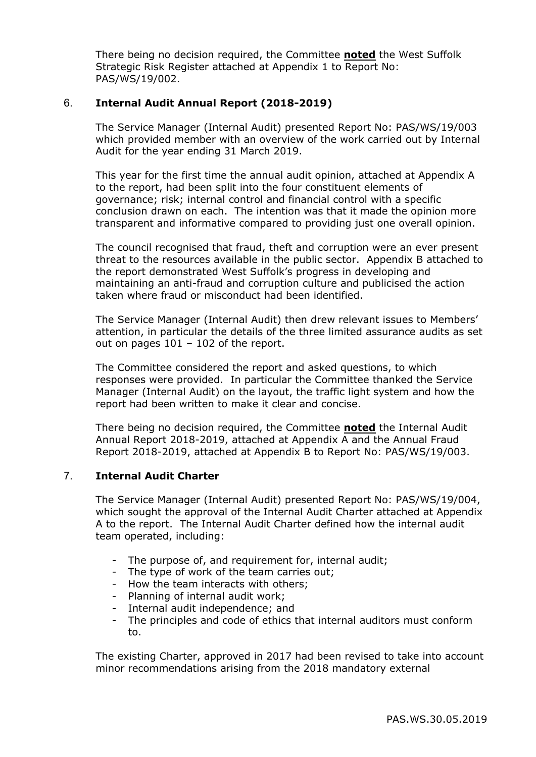There being no decision required, the Committee **noted** the West Suffolk Strategic Risk Register attached at Appendix 1 to Report No: PAS/WS/19/002.

# 6. **Internal Audit Annual Report (2018-2019)**

The Service Manager (Internal Audit) presented Report No: PAS/WS/19/003 which provided member with an overview of the work carried out by Internal Audit for the year ending 31 March 2019.

This year for the first time the annual audit opinion, attached at Appendix A to the report, had been split into the four constituent elements of governance; risk; internal control and financial control with a specific conclusion drawn on each. The intention was that it made the opinion more transparent and informative compared to providing just one overall opinion.

The council recognised that fraud, theft and corruption were an ever present threat to the resources available in the public sector. Appendix B attached to the report demonstrated West Suffolk's progress in developing and maintaining an anti-fraud and corruption culture and publicised the action taken where fraud or misconduct had been identified.

The Service Manager (Internal Audit) then drew relevant issues to Members' attention, in particular the details of the three limited assurance audits as set out on pages 101 – 102 of the report.

The Committee considered the report and asked questions, to which responses were provided. In particular the Committee thanked the Service Manager (Internal Audit) on the layout, the traffic light system and how the report had been written to make it clear and concise.

There being no decision required, the Committee **noted** the Internal Audit Annual Report 2018-2019, attached at Appendix A and the Annual Fraud Report 2018-2019, attached at Appendix B to Report No: PAS/WS/19/003.

## 7. **Internal Audit Charter**

The Service Manager (Internal Audit) presented Report No: PAS/WS/19/004, which sought the approval of the Internal Audit Charter attached at Appendix A to the report. The Internal Audit Charter defined how the internal audit team operated, including:

- The purpose of, and requirement for, internal audit;
- The type of work of the team carries out;
- How the team interacts with others;
- Planning of internal audit work;
- Internal audit independence; and
- The principles and code of ethics that internal auditors must conform to.

The existing Charter, approved in 2017 had been revised to take into account minor recommendations arising from the 2018 mandatory external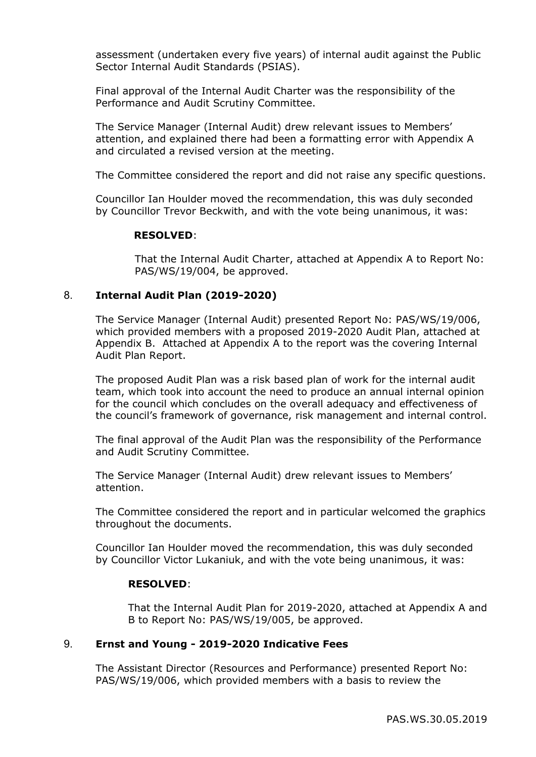assessment (undertaken every five years) of internal audit against the Public Sector Internal Audit Standards (PSIAS).

Final approval of the Internal Audit Charter was the responsibility of the Performance and Audit Scrutiny Committee.

The Service Manager (Internal Audit) drew relevant issues to Members' attention, and explained there had been a formatting error with Appendix A and circulated a revised version at the meeting.

The Committee considered the report and did not raise any specific questions.

Councillor Ian Houlder moved the recommendation, this was duly seconded by Councillor Trevor Beckwith, and with the vote being unanimous, it was:

#### **RESOLVED**:

That the Internal Audit Charter, attached at Appendix A to Report No: PAS/WS/19/004, be approved.

## 8. **Internal Audit Plan (2019-2020)**

The Service Manager (Internal Audit) presented Report No: PAS/WS/19/006, which provided members with a proposed 2019-2020 Audit Plan, attached at Appendix B. Attached at Appendix A to the report was the covering Internal Audit Plan Report.

The proposed Audit Plan was a risk based plan of work for the internal audit team, which took into account the need to produce an annual internal opinion for the council which concludes on the overall adequacy and effectiveness of the council's framework of governance, risk management and internal control.

The final approval of the Audit Plan was the responsibility of the Performance and Audit Scrutiny Committee.

The Service Manager (Internal Audit) drew relevant issues to Members' attention.

The Committee considered the report and in particular welcomed the graphics throughout the documents.

Councillor Ian Houlder moved the recommendation, this was duly seconded by Councillor Victor Lukaniuk, and with the vote being unanimous, it was:

#### **RESOLVED**:

That the Internal Audit Plan for 2019-2020, attached at Appendix A and B to Report No: PAS/WS/19/005, be approved.

## 9. **Ernst and Young - 2019-2020 Indicative Fees**

The Assistant Director (Resources and Performance) presented Report No: PAS/WS/19/006, which provided members with a basis to review the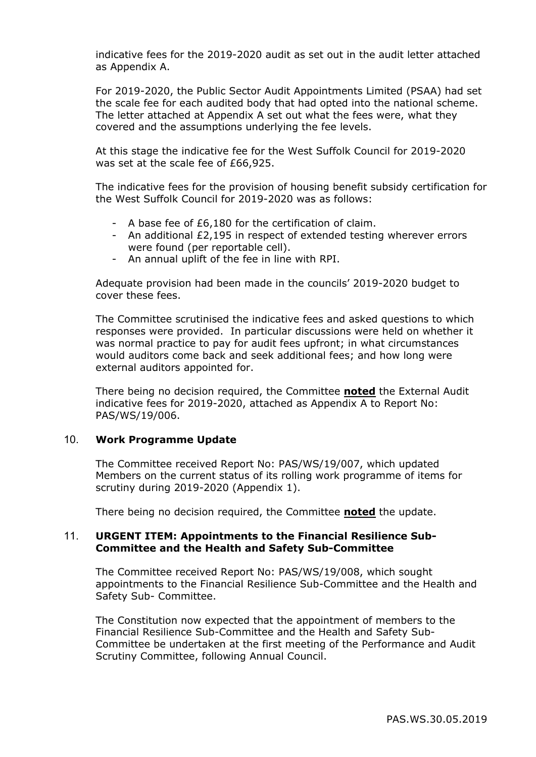indicative fees for the 2019-2020 audit as set out in the audit letter attached as Appendix A.

For 2019-2020, the Public Sector Audit Appointments Limited (PSAA) had set the scale fee for each audited body that had opted into the national scheme. The letter attached at Appendix A set out what the fees were, what they covered and the assumptions underlying the fee levels.

At this stage the indicative fee for the West Suffolk Council for 2019-2020 was set at the scale fee of £66,925.

The indicative fees for the provision of housing benefit subsidy certification for the West Suffolk Council for 2019-2020 was as follows:

- A base fee of £6,180 for the certification of claim.
- An additional £2,195 in respect of extended testing wherever errors were found (per reportable cell).
- An annual uplift of the fee in line with RPI.

Adequate provision had been made in the councils' 2019-2020 budget to cover these fees.

The Committee scrutinised the indicative fees and asked questions to which responses were provided. In particular discussions were held on whether it was normal practice to pay for audit fees upfront; in what circumstances would auditors come back and seek additional fees; and how long were external auditors appointed for.

There being no decision required, the Committee **noted** the External Audit indicative fees for 2019-2020, attached as Appendix A to Report No: PAS/WS/19/006.

## 10. **Work Programme Update**

The Committee received Report No: PAS/WS/19/007, which updated Members on the current status of its rolling work programme of items for scrutiny during 2019-2020 (Appendix 1).

There being no decision required, the Committee **noted** the update.

#### 11. **URGENT ITEM: Appointments to the Financial Resilience Sub-Committee and the Health and Safety Sub-Committee**

The Committee received Report No: PAS/WS/19/008, which sought appointments to the Financial Resilience Sub-Committee and the Health and Safety Sub- Committee.

The Constitution now expected that the appointment of members to the Financial Resilience Sub-Committee and the Health and Safety Sub-Committee be undertaken at the first meeting of the Performance and Audit Scrutiny Committee, following Annual Council.